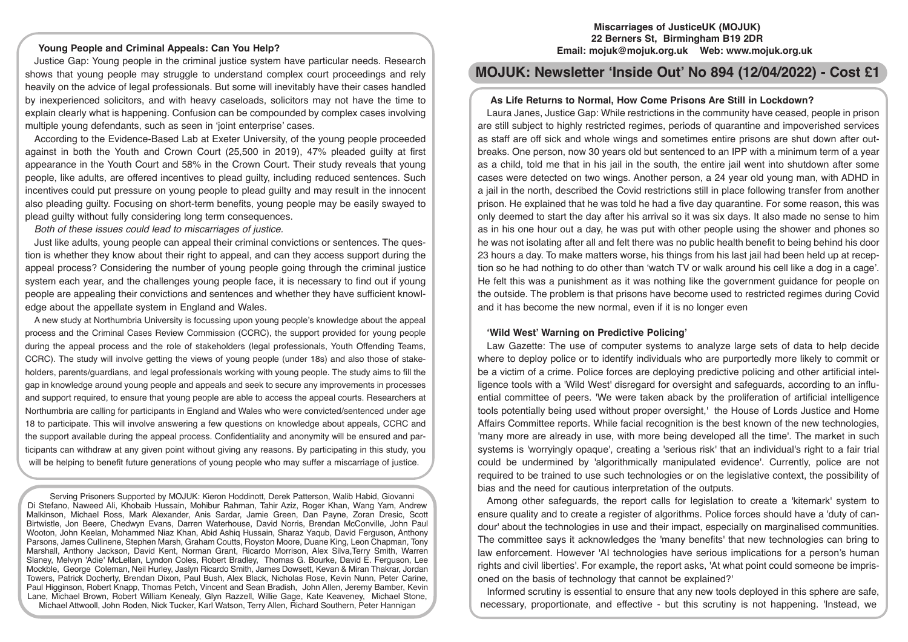# **Young People and Criminal Appeals: Can You Help?**

Justice Gap: Young people in the criminal justice system have particular needs. Research shows that young people may struggle to understand complex court proceedings and rely heavily on the advice of legal professionals. But some will inevitably have their cases handled by inexperienced solicitors, and with heavy caseloads, solicitors may not have the time to explain clearly what is happening. Confusion can be compounded by complex cases involving multiple young defendants, such as seen in 'joint enterprise' cases.

According to the Evidence-Based Lab at Exeter University, of the young people proceeded against in both the Youth and Crown Court (25,500 in 2019), 47% pleaded guilty at first appearance in the Youth Court and 58% in the Crown Court. Their study reveals that young people, like adults, are offered incentives to plead guilty, including reduced sentences. Such incentives could put pressure on young people to plead guilty and may result in the innocent also pleading guilty. Focusing on short-term benefits, young people may be easily swayed to plead guilty without fully considering long term consequences.

*Both of these issues could lead to miscarriages of justice.* 

Just like adults, young people can appeal their criminal convictions or sentences. The question is whether they know about their right to appeal, and can they access support during the appeal process? Considering the number of young people going through the criminal justice system each year, and the challenges young people face, it is necessary to find out if young people are appealing their convictions and sentences and whether they have sufficient knowledge about the appellate system in England and Wales.

A new study at Northumbria University is focussing upon young people's knowledge about the appeal process and the Criminal Cases Review Commission (CCRC), the support provided for young people during the appeal process and the role of stakeholders (legal professionals, Youth Offending Teams, CCRC). The study will involve getting the views of young people (under 18s) and also those of stakeholders, parents/guardians, and legal professionals working with young people. The study aims to fill the gap in knowledge around young people and appeals and seek to secure any improvements in processes and support required, to ensure that young people are able to access the appeal courts. Researchers at Northumbria are calling for participants in England and Wales who were convicted/sentenced under age 18 to participate. This will involve answering a few questions on knowledge about appeals, CCRC and the support available during the appeal process. Confidentiality and anonymity will be ensured and participants can withdraw at any given point without giving any reasons. By participating in this study, you will be helping to benefit future generations of young people who may suffer a miscarriage of justice.

Serving Prisoners Supported by MOJUK: Kieron Hoddinott, Derek Patterson, Walib Habid, Giovanni Di Stefano, Naweed Ali, Khobaib Hussain, Mohibur Rahman, Tahir Aziz, Roger Khan, Wang Yam, Andrew Malkinson, Michael Ross, Mark Alexander, Anis Sardar, Jamie Green, Dan Payne, Zoran Dresic, Scott Birtwistle, Jon Beere, Chedwyn Evans, Darren Waterhouse, David Norris, Brendan McConville, John Paul Wooton, John Keelan, Mohammed Niaz Khan, Abid Ashiq Hussain, Sharaz Yaqub, David Ferguson, Anthony Parsons, James Cullinene, Stephen Marsh, Graham Coutts, Royston Moore, Duane King, Leon Chapman, Tony Marshall, Anthony Jackson, David Kent, Norman Grant, Ricardo Morrison, Alex Silva,Terry Smith, Warren Slaney, Melvyn 'Adie' McLellan, Lyndon Coles, Robert Bradley, Thomas G. Bourke, David E. Ferguson, Lee Mockble, George Coleman, Neil Hurley, Jaslyn Ricardo Smith, James Dowsett, Kevan & Miran Thakrar, Jordan Towers, Patrick Docherty, Brendan Dixon, Paul Bush, Alex Black, Nicholas Rose, Kevin Nunn, Peter Carine, Paul Higginson, Robert Knapp, Thomas Petch, Vincent and Sean Bradish, John Allen, Jeremy Bamber, Kevin Lane, Michael Brown, Robert William Kenealy, Glyn Razzell, Willie Gage, Kate Keaveney, Michael Stone, Michael Attwooll, John Roden, Nick Tucker, Karl Watson, Terry Allen, Richard Southern, Peter Hannigan

### **Miscarriages of JusticeUK (MOJUK) 22 Berners St, Birmingham B19 2DR Email: mojuk@mojuk.org.uk Web: www.mojuk.org.uk**

# **MOJUK: Newsletter 'Inside Out' No 894 (12/04/2022) - Cost £1**

## **As Life Returns to Normal, How Come Prisons Are Still in Lockdown?**

Laura Janes, Justice Gap: While restrictions in the community have ceased, people in prison are still subject to highly restricted regimes, periods of quarantine and impoverished services as staff are off sick and whole wings and sometimes entire prisons are shut down after outbreaks. One person, now 30 years old but sentenced to an IPP with a minimum term of a year as a child, told me that in his jail in the south, the entire jail went into shutdown after some cases were detected on two wings. Another person, a 24 year old young man, with ADHD in a jail in the north, described the Covid restrictions still in place following transfer from another prison. He explained that he was told he had a five day quarantine. For some reason, this was only deemed to start the day after his arrival so it was six days. It also made no sense to him as in his one hour out a day, he was put with other people using the shower and phones so he was not isolating after all and felt there was no public health benefit to being behind his door 23 hours a day. To make matters worse, his things from his last jail had been held up at reception so he had nothing to do other than 'watch TV or walk around his cell like a dog in a cage'. He felt this was a punishment as it was nothing like the government guidance for people on the outside. The problem is that prisons have become used to restricted regimes during Covid and it has become the new normal, even if it is no longer even

### **'Wild West' Warning on Predictive Policing'**

Law Gazette: The use of computer systems to analyze large sets of data to help decide where to deploy police or to identify individuals who are purportedly more likely to commit or be a victim of a crime. Police forces are deploying predictive policing and other artificial intelligence tools with a 'Wild West' disregard for oversight and safeguards, according to an influential committee of peers. 'We were taken aback by the proliferation of artificial intelligence tools potentially being used without proper oversight,' the House of Lords Justice and Home Affairs Committee reports. While facial recognition is the best known of the new technologies, 'many more are already in use, with more being developed all the time'. The market in such systems is 'worryingly opaque', creating a 'serious risk' that an individual's right to a fair trial could be undermined by 'algorithmically manipulated evidence'. Currently, police are not required to be trained to use such technologies or on the legislative context, the possibility of bias and the need for cautious interpretation of the outputs.

Among other safeguards, the report calls for legislation to create a 'kitemark' system to ensure quality and to create a register of algorithms. Police forces should have a 'duty of candour' about the technologies in use and their impact, especially on marginalised communities. The committee says it acknowledges the 'many benefits' that new technologies can bring to law enforcement. However 'AI technologies have serious implications for a person's human rights and civil liberties'. For example, the report asks, 'At what point could someone be imprisoned on the basis of technology that cannot be explained?'

Informed scrutiny is essential to ensure that any new tools deployed in this sphere are safe, necessary, proportionate, and effective - but this scrutiny is not happening. 'Instead, we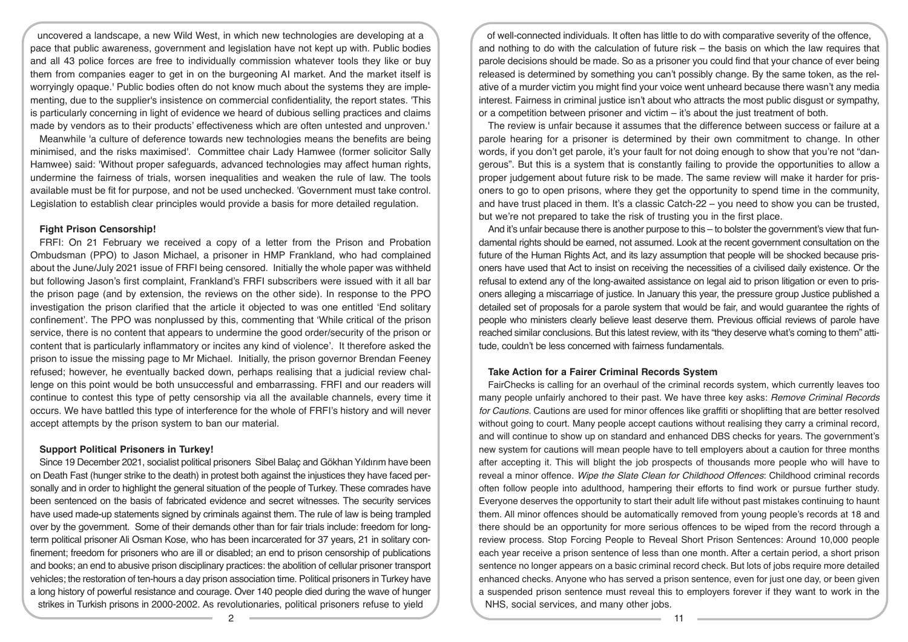uncovered a landscape, a new Wild West, in which new technologies are developing at a pace that public awareness, government and legislation have not kept up with. Public bodies and all 43 police forces are free to individually commission whatever tools they like or buy them from companies eager to get in on the burgeoning AI market. And the market itself is worryingly opaque.' Public bodies often do not know much about the systems they are implementing, due to the supplier's insistence on commercial confidentiality, the report states. 'This is particularly concerning in light of evidence we heard of dubious selling practices and claims made by vendors as to their products' effectiveness which are often untested and unproven.'

Meanwhile 'a culture of deference towards new technologies means the benefits are being minimised, and the risks maximised'. Committee chair Lady Hamwee (former solicitor Sally Hamwee) said: 'Without proper safeguards, advanced technologies may affect human rights, undermine the fairness of trials, worsen inequalities and weaken the rule of law. The tools available must be fit for purpose, and not be used unchecked. 'Government must take control. Legislation to establish clear principles would provide a basis for more detailed regulation.

### **Fight Prison Censorship!**

FRFI: On 21 February we received a copy of a letter from the Prison and Probation Ombudsman (PPO) to Jason Michael, a prisoner in HMP Frankland, who had complained about the June/July 2021 issue of FRFI being censored. Initially the whole paper was withheld but following Jason's first complaint, Frankland's FRFI subscribers were issued with it all bar the prison page (and by extension, the reviews on the other side). In response to the PPO investigation the prison clarified that the article it objected to was one entitled 'End solitary confinement'. The PPO was nonplussed by this, commenting that 'While critical of the prison service, there is no content that appears to undermine the good order/security of the prison or content that is particularly inflammatory or incites any kind of violence'. It therefore asked the prison to issue the missing page to Mr Michael. Initially, the prison governor Brendan Feeney refused; however, he eventually backed down, perhaps realising that a judicial review challenge on this point would be both unsuccessful and embarrassing. FRFI and our readers will continue to contest this type of petty censorship via all the available channels, every time it occurs. We have battled this type of interference for the whole of FRFI's history and will never accept attempts by the prison system to ban our material.

#### **Support Political Prisoners in Turkey!**

Since 19 December 2021, socialist political prisoners Sibel Balaç and Gökhan Yıldırım have been on Death Fast (hunger strike to the death) in protest both against the injustices they have faced personally and in order to highlight the general situation of the people of Turkey. These comrades have been sentenced on the basis of fabricated evidence and secret witnesses. The security services have used made-up statements signed by criminals against them. The rule of law is being trampled over by the government. Some of their demands other than for fair trials include: freedom for longterm political prisoner Ali Osman Kose, who has been incarcerated for 37 years, 21 in solitary confinement; freedom for prisoners who are ill or disabled; an end to prison censorship of publications and books; an end to abusive prison disciplinary practices: the abolition of cellular prisoner transport vehicles; the restoration of ten-hours a day prison association time. Political prisoners in Turkey have a long history of powerful resistance and courage. Over 140 people died during the wave of hunger strikes in Turkish prisons in 2000-2002. As revolutionaries, political prisoners refuse to yield

of well-connected individuals. It often has little to do with comparative severity of the offence, and nothing to do with the calculation of future risk – the basis on which the law requires that parole decisions should be made. So as a prisoner you could find that your chance of ever being released is determined by something you can't possibly change. By the same token, as the relative of a murder victim you might find your voice went unheard because there wasn't any media interest. Fairness in criminal justice isn't about who attracts the most public disgust or sympathy, or a competition between prisoner and victim – it's about the just treatment of both.

The review is unfair because it assumes that the difference between success or failure at a parole hearing for a prisoner is determined by their own commitment to change. In other words, if you don't get parole, it's your fault for not doing enough to show that you're not "dangerous". But this is a system that is constantly failing to provide the opportunities to allow a proper judgement about future risk to be made. The same review will make it harder for prisoners to go to open prisons, where they get the opportunity to spend time in the community, and have trust placed in them. It's a classic Catch-22 – you need to show you can be trusted, but we're not prepared to take the risk of trusting you in the first place.

And it's unfair because there is another purpose to this – to bolster the government's view that fundamental rights should be earned, not assumed. Look at the recent government consultation on the future of the Human Rights Act, and its lazy assumption that people will be shocked because prisoners have used that Act to insist on receiving the necessities of a civilised daily existence. Or the refusal to extend any of the long-awaited assistance on legal aid to prison litigation or even to prisoners alleging a miscarriage of justice. In January this year, the pressure group Justice published a detailed set of proposals for a parole system that would be fair, and would guarantee the rights of people who ministers clearly believe least deserve them. Previous official reviews of parole have reached similar conclusions. But this latest review, with its "they deserve what's coming to them" attitude, couldn't be less concerned with fairness fundamentals.

### **Take Action for a Fairer Criminal Records System**

FairChecks is calling for an overhaul of the criminal records system, which currently leaves too many people unfairly anchored to their past. We have three key asks: *Remove Criminal Records for Cautions.* Cautions are used for minor offences like graffiti or shoplifting that are better resolved without going to court. Many people accept cautions without realising they carry a criminal record, and will continue to show up on standard and enhanced DBS checks for years. The government's new system for cautions will mean people have to tell employers about a caution for three months after accepting it. This will blight the job prospects of thousands more people who will have to reveal a minor offence. *Wipe the Slate Clean for Childhood Offences*: Childhood criminal records often follow people into adulthood, hampering their efforts to find work or pursue further study. Everyone deserves the opportunity to start their adult life without past mistakes continuing to haunt them. All minor offences should be automatically removed from young people's records at 18 and there should be an opportunity for more serious offences to be wiped from the record through a review process. Stop Forcing People to Reveal Short Prison Sentences: Around 10,000 people each year receive a prison sentence of less than one month. After a certain period, a short prison sentence no longer appears on a basic criminal record check. But lots of jobs require more detailed enhanced checks. Anyone who has served a prison sentence, even for just one day, or been given a suspended prison sentence must reveal this to employers forever if they want to work in the NHS, social services, and many other jobs.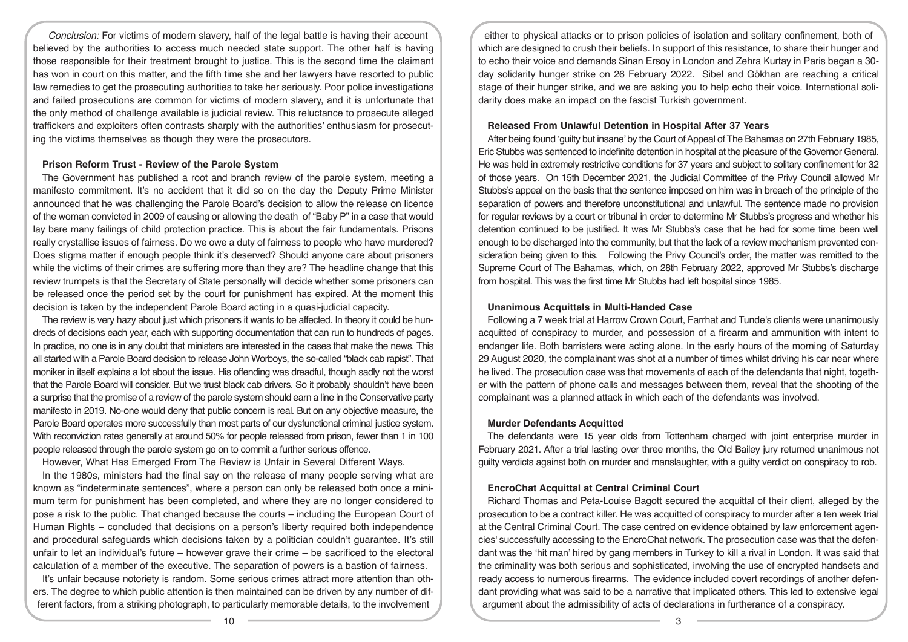*Conclusion:* For victims of modern slavery, half of the legal battle is having their account believed by the authorities to access much needed state support. The other half is having those responsible for their treatment brought to justice. This is the second time the claimant has won in court on this matter, and the fifth time she and her lawyers have resorted to public law remedies to get the prosecuting authorities to take her seriously. Poor police investigations and failed prosecutions are common for victims of modern slavery, and it is unfortunate that the only method of challenge available is judicial review. This reluctance to prosecute alleged traffickers and exploiters often contrasts sharply with the authorities' enthusiasm for prosecuting the victims themselves as though they were the prosecutors.

### **Prison Reform Trust - Review of the Parole System**

The Government has published a root and branch review of the parole system, meeting a manifesto commitment. It's no accident that it did so on the day the Deputy Prime Minister announced that he was challenging the Parole Board's decision to allow the release on licence of the woman convicted in 2009 of causing or allowing the death of "Baby P" in a case that would lay bare many failings of child protection practice. This is about the fair fundamentals. Prisons really crystallise issues of fairness. Do we owe a duty of fairness to people who have murdered? Does stigma matter if enough people think it's deserved? Should anyone care about prisoners while the victims of their crimes are suffering more than they are? The headline change that this review trumpets is that the Secretary of State personally will decide whether some prisoners can be released once the period set by the court for punishment has expired. At the moment this decision is taken by the independent Parole Board acting in a quasi-judicial capacity.

The review is very hazy about just which prisoners it wants to be affected. In theory it could be hundreds of decisions each year, each with supporting documentation that can run to hundreds of pages. In practice, no one is in any doubt that ministers are interested in the cases that make the news. This all started with a Parole Board decision to release John Worboys, the so-called "black cab rapist". That moniker in itself explains a lot about the issue. His offending was dreadful, though sadly not the worst that the Parole Board will consider. But we trust black cab drivers. So it probably shouldn't have been a surprise that the promise of a review of the parole system should earn a line in the Conservative party manifesto in 2019. No-one would deny that public concern is real. But on any objective measure, the Parole Board operates more successfully than most parts of our dysfunctional criminal justice system. With reconviction rates generally at around 50% for people released from prison, fewer than 1 in 100 people released through the parole system go on to commit a further serious offence.

However, What Has Emerged From The Review is Unfair in Several Different Ways.

In the 1980s, ministers had the final say on the release of many people serving what are known as "indeterminate sentences", where a person can only be released both once a minimum term for punishment has been completed, and where they are no longer considered to pose a risk to the public. That changed because the courts – including the European Court of Human Rights – concluded that decisions on a person's liberty required both independence and procedural safeguards which decisions taken by a politician couldn't guarantee. It's still unfair to let an individual's future – however grave their crime – be sacrificed to the electoral calculation of a member of the executive. The separation of powers is a bastion of fairness.

It's unfair because notoriety is random. Some serious crimes attract more attention than others. The degree to which public attention is then maintained can be driven by any number of different factors, from a striking photograph, to particularly memorable details, to the involvement

either to physical attacks or to prison policies of isolation and solitary confinement, both of which are designed to crush their beliefs. In support of this resistance, to share their hunger and to echo their voice and demands Sinan Ersoy in London and Zehra Kurtay in Paris began a 30 day solidarity hunger strike on 26 February 2022. Sibel and Gökhan are reaching a critical stage of their hunger strike, and we are asking you to help echo their voice. International solidarity does make an impact on the fascist Turkish government.

# **Released From Unlawful Detention in Hospital After 37 Years**

After being found 'guilty but insane' by the Court of Appeal of The Bahamas on 27th February 1985, Eric Stubbs was sentenced to indefinite detention in hospital at the pleasure of the Governor General. He was held in extremely restrictive conditions for 37 years and subject to solitary confinement for 32 of those years. On 15th December 2021, the Judicial Committee of the Privy Council allowed Mr Stubbs's appeal on the basis that the sentence imposed on him was in breach of the principle of the separation of powers and therefore unconstitutional and unlawful. The sentence made no provision for regular reviews by a court or tribunal in order to determine Mr Stubbs's progress and whether his detention continued to be justified. It was Mr Stubbs's case that he had for some time been well enough to be discharged into the community, but that the lack of a review mechanism prevented consideration being given to this. Following the Privy Council's order, the matter was remitted to the Supreme Court of The Bahamas, which, on 28th February 2022, approved Mr Stubbs's discharge from hospital. This was the first time Mr Stubbs had left hospital since 1985.

# **Unanimous Acquittals in Multi-Handed Case**

Following a 7 week trial at Harrow Crown Court, Farrhat and Tunde's clients were unanimously acquitted of conspiracy to murder, and possession of a firearm and ammunition with intent to endanger life. Both barristers were acting alone. In the early hours of the morning of Saturday 29 August 2020, the complainant was shot at a number of times whilst driving his car near where he lived. The prosecution case was that movements of each of the defendants that night, together with the pattern of phone calls and messages between them, reveal that the shooting of the complainant was a planned attack in which each of the defendants was involved.

# **Murder Defendants Acquitted**

The defendants were 15 year olds from Tottenham charged with joint enterprise murder in February 2021. After a trial lasting over three months, the Old Bailey jury returned unanimous not guilty verdicts against both on murder and manslaughter, with a guilty verdict on conspiracy to rob.

# **EncroChat Acquittal at Central Criminal Court**

Richard Thomas and Peta-Louise Bagott secured the acquittal of their client, alleged by the prosecution to be a contract killer. He was acquitted of conspiracy to murder after a ten week trial at the Central Criminal Court. The case centred on evidence obtained by law enforcement agencies' successfully accessing to the EncroChat network. The prosecution case was that the defendant was the 'hit man' hired by gang members in Turkey to kill a rival in London. It was said that the criminality was both serious and sophisticated, involving the use of encrypted handsets and ready access to numerous firearms. The evidence included covert recordings of another defendant providing what was said to be a narrative that implicated others. This led to extensive legal argument about the admissibility of acts of declarations in furtherance of a conspiracy.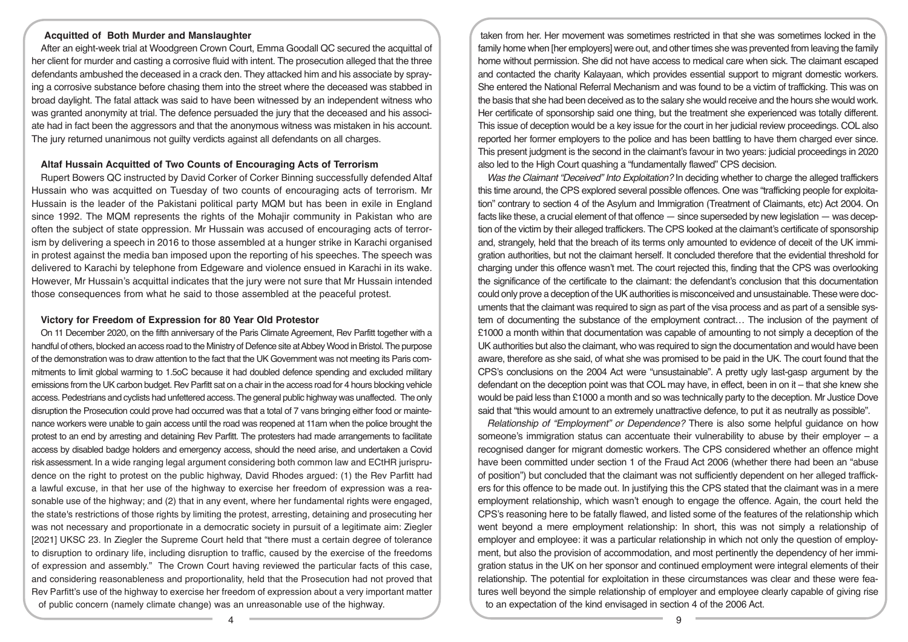## **Acquitted of Both Murder and Manslaughter**

After an eight-week trial at Woodgreen Crown Court, Emma Goodall QC secured the acquittal of her client for murder and casting a corrosive fluid with intent. The prosecution alleged that the three defendants ambushed the deceased in a crack den. They attacked him and his associate by spraying a corrosive substance before chasing them into the street where the deceased was stabbed in broad daylight. The fatal attack was said to have been witnessed by an independent witness who was granted anonymity at trial. The defence persuaded the jury that the deceased and his associate had in fact been the aggressors and that the anonymous witness was mistaken in his account. The jury returned unanimous not guilty verdicts against all defendants on all charges.

### **Altaf Hussain Acquitted of Two Counts of Encouraging Acts of Terrorism**

Rupert Bowers QC instructed by David Corker of Corker Binning successfully defended Altaf Hussain who was acquitted on Tuesday of two counts of encouraging acts of terrorism. Mr Hussain is the leader of the Pakistani political party MQM but has been in exile in England since 1992. The MQM represents the rights of the Mohajir community in Pakistan who are often the subject of state oppression. Mr Hussain was accused of encouraging acts of terrorism by delivering a speech in 2016 to those assembled at a hunger strike in Karachi organised in protest against the media ban imposed upon the reporting of his speeches. The speech was delivered to Karachi by telephone from Edgeware and violence ensued in Karachi in its wake. However, Mr Hussain's acquittal indicates that the jury were not sure that Mr Hussain intended those consequences from what he said to those assembled at the peaceful protest.

#### **Victory for Freedom of Expression for 80 Year Old Protestor**

On 11 December 2020, on the fifth anniversary of the Paris Climate Agreement, Rev Parfitt together with a handful of others, blocked an access road to the Ministry of Defence site at Abbey Wood in Bristol. The purpose of the demonstration was to draw attention to the fact that the UK Government was not meeting its Paris commitments to limit global warming to 1.5oC because it had doubled defence spending and excluded military emissions from the UK carbon budget. Rev Parfitt sat on a chair in the access road for 4 hours blocking vehicle access. Pedestrians and cyclists had unfettered access. The general public highway was unaffected. The only disruption the Prosecution could prove had occurred was that a total of 7 vans bringing either food or maintenance workers were unable to gain access until the road was reopened at 11am when the police brought the protest to an end by arresting and detaining Rev Parfitt. The protesters had made arrangements to facilitate access by disabled badge holders and emergency access, should the need arise, and undertaken a Covid risk assessment. In a wide ranging legal argument considering both common law and ECtHR jurisprudence on the right to protest on the public highway, David Rhodes argued: (1) the Rev Parfitt had a lawful excuse, in that her use of the highway to exercise her freedom of expression was a reasonable use of the highway; and (2) that in any event, where her fundamental rights were engaged, the state's restrictions of those rights by limiting the protest, arresting, detaining and prosecuting her was not necessary and proportionate in a democratic society in pursuit of a legitimate aim: Ziegler [2021] UKSC 23. In Ziegler the Supreme Court held that "there must a certain degree of tolerance to disruption to ordinary life, including disruption to traffic, caused by the exercise of the freedoms of expression and assembly." The Crown Court having reviewed the particular facts of this case, and considering reasonableness and proportionality, held that the Prosecution had not proved that Rev Parfitt's use of the highway to exercise her freedom of expression about a very important matter of public concern (namely climate change) was an unreasonable use of the highway.

taken from her. Her movement was sometimes restricted in that she was sometimes locked in the family home when [her employers] were out, and other times she was prevented from leaving the family home without permission. She did not have access to medical care when sick. The claimant escaped and contacted the charity Kalayaan, which provides essential support to migrant domestic workers. She entered the National Referral Mechanism and was found to be a victim of trafficking. This was on the basis that she had been deceived as to the salary she would receive and the hours she would work. Her certificate of sponsorship said one thing, but the treatment she experienced was totally different. This issue of deception would be a key issue for the court in her judicial review proceedings. COL also reported her former employers to the police and has been battling to have them charged ever since. This present judgment is the second in the claimant's favour in two years: judicial proceedings in 2020 also led to the High Court quashing a "fundamentally flawed" CPS decision.

*Was the Claimant "Deceived" Into Exploitation?* In deciding whether to charge the alleged traffickers this time around, the CPS explored several possible offences. One was "trafficking people for exploitation" contrary to section 4 of the Asylum and Immigration (Treatment of Claimants, etc) Act 2004. On facts like these, a crucial element of that offence — since superseded by new legislation — was deception of the victim by their alleged traffickers. The CPS looked at the claimant's certificate of sponsorship and, strangely, held that the breach of its terms only amounted to evidence of deceit of the UK immigration authorities, but not the claimant herself. It concluded therefore that the evidential threshold for charging under this offence wasn't met. The court rejected this, finding that the CPS was overlooking the significance of the certificate to the claimant: the defendant's conclusion that this documentation could only prove a deception of the UK authorities is misconceived and unsustainable. These were documents that the claimant was required to sign as part of the visa process and as part of a sensible system of documenting the substance of the employment contract… The inclusion of the payment of £1000 a month within that documentation was capable of amounting to not simply a deception of the UK authorities but also the claimant, who was required to sign the documentation and would have been aware, therefore as she said, of what she was promised to be paid in the UK. The court found that the CPS's conclusions on the 2004 Act were "unsustainable". A pretty ugly last-gasp argument by the defendant on the deception point was that COL may have, in effect, been in on it – that she knew she would be paid less than £1000 a month and so was technically party to the deception. Mr Justice Dove said that "this would amount to an extremely unattractive defence, to put it as neutrally as possible".

*Relationship of "Employment" or Dependence?* There is also some helpful guidance on how someone's immigration status can accentuate their vulnerability to abuse by their employer – a recognised danger for migrant domestic workers. The CPS considered whether an offence might have been committed under section 1 of the Fraud Act 2006 (whether there had been an "abuse of position") but concluded that the claimant was not sufficiently dependent on her alleged traffickers for this offence to be made out. In justifying this the CPS stated that the claimant was in a mere employment relationship, which wasn't enough to engage the offence. Again, the court held the CPS's reasoning here to be fatally flawed, and listed some of the features of the relationship which went beyond a mere employment relationship: In short, this was not simply a relationship of employer and employee: it was a particular relationship in which not only the question of employment, but also the provision of accommodation, and most pertinently the dependency of her immigration status in the UK on her sponsor and continued employment were integral elements of their relationship. The potential for exploitation in these circumstances was clear and these were features well beyond the simple relationship of employer and employee clearly capable of giving rise to an expectation of the kind envisaged in section 4 of the 2006 Act.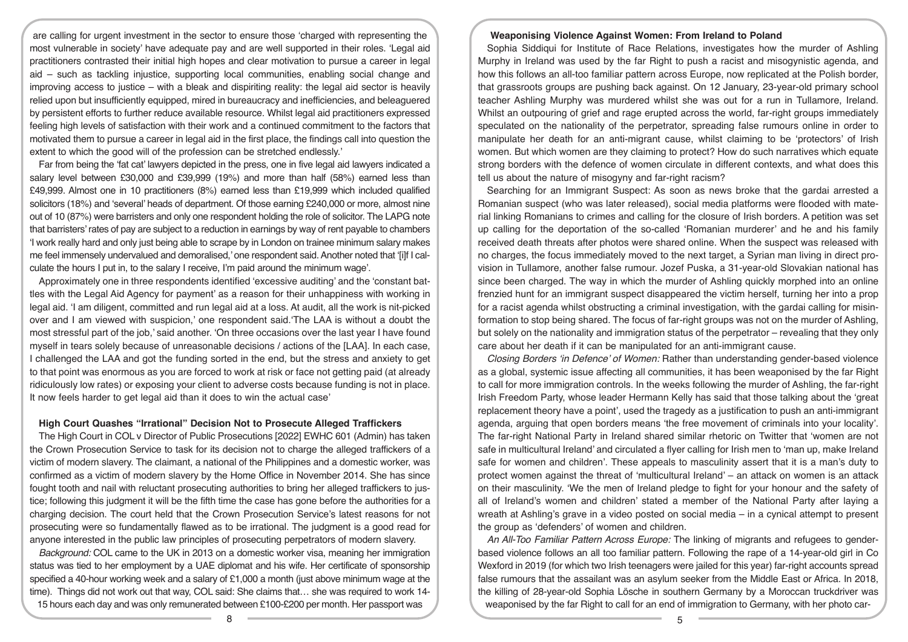are calling for urgent investment in the sector to ensure those 'charged with representing the most vulnerable in society' have adequate pay and are well supported in their roles. 'Legal aid practitioners contrasted their initial high hopes and clear motivation to pursue a career in legal aid – such as tackling injustice, supporting local communities, enabling social change and improving access to justice – with a bleak and dispiriting reality: the legal aid sector is heavily relied upon but insufficiently equipped, mired in bureaucracy and inefficiencies, and beleaguered by persistent efforts to further reduce available resource. Whilst legal aid practitioners expressed feeling high levels of satisfaction with their work and a continued commitment to the factors that motivated them to pursue a career in legal aid in the first place, the findings call into question the extent to which the good will of the profession can be stretched endlessly.'

Far from being the 'fat cat' lawyers depicted in the press, one in five legal aid lawyers indicated a salary level between £30,000 and £39,999 (19%) and more than half (58%) earned less than £49,999. Almost one in 10 practitioners (8%) earned less than £19,999 which included qualified solicitors (18%) and 'several' heads of department. Of those earning £240,000 or more, almost nine out of 10 (87%) were barristers and only one respondent holding the role of solicitor. The LAPG note that barristers' rates of pay are subject to a reduction in earnings by way of rent payable to chambers 'I work really hard and only just being able to scrape by in London on trainee minimum salary makes me feel immensely undervalued and demoralised,' one respondent said. Another noted that '[i]f I calculate the hours I put in, to the salary I receive, I'm paid around the minimum wage'.

Approximately one in three respondents identified 'excessive auditing' and the 'constant battles with the Legal Aid Agency for payment' as a reason for their unhappiness with working in legal aid. 'I am diligent, committed and run legal aid at a loss. At audit, all the work is nit-picked over and I am viewed with suspicion,' one respondent said.'The LAA is without a doubt the most stressful part of the job,' said another. 'On three occasions over the last year I have found myself in tears solely because of unreasonable decisions / actions of the [LAA]. In each case, I challenged the LAA and got the funding sorted in the end, but the stress and anxiety to get to that point was enormous as you are forced to work at risk or face not getting paid (at already ridiculously low rates) or exposing your client to adverse costs because funding is not in place. It now feels harder to get legal aid than it does to win the actual case'

### **High Court Quashes "Irrational" Decision Not to Prosecute Alleged Traffickers**

The High Court in COL v Director of Public Prosecutions [2022] EWHC 601 (Admin) has taken the Crown Prosecution Service to task for its decision not to charge the alleged traffickers of a victim of modern slavery. The claimant, a national of the Philippines and a domestic worker, was confirmed as a victim of modern slavery by the Home Office in November 2014. She has since fought tooth and nail with reluctant prosecuting authorities to bring her alleged traffickers to justice; following this judgment it will be the fifth time the case has gone before the authorities for a charging decision. The court held that the Crown Prosecution Service's latest reasons for not prosecuting were so fundamentally flawed as to be irrational. The judgment is a good read for anyone interested in the public law principles of prosecuting perpetrators of modern slavery.

*Background:* COL came to the UK in 2013 on a domestic worker visa, meaning her immigration status was tied to her employment by a UAE diplomat and his wife. Her certificate of sponsorship specified a 40-hour working week and a salary of £1,000 a month (just above minimum wage at the time). Things did not work out that way, COL said: She claims that… she was required to work 14- 15 hours each day and was only remunerated between £100-£200 per month. Her passport was

#### **Weaponising Violence Against Women: From Ireland to Poland**

Sophia Siddiqui for Institute of Race Relations, investigates how the murder of Ashling Murphy in Ireland was used by the far Right to push a racist and misogynistic agenda, and how this follows an all-too familiar pattern across Europe, now replicated at the Polish border, that grassroots groups are pushing back against. On 12 January, 23-year-old primary school teacher Ashling Murphy was murdered whilst she was out for a run in Tullamore, Ireland. Whilst an outpouring of grief and rage erupted across the world, far-right groups immediately speculated on the nationality of the perpetrator, spreading false rumours online in order to manipulate her death for an anti-migrant cause, whilst claiming to be 'protectors' of Irish women. But which women are they claiming to protect? How do such narratives which equate strong borders with the defence of women circulate in different contexts, and what does this tell us about the nature of misogyny and far-right racism?

Searching for an Immigrant Suspect: As soon as news broke that the gardai arrested a Romanian suspect (who was later released), social media platforms were flooded with material linking Romanians to crimes and calling for the closure of Irish borders. A petition was set up calling for the deportation of the so-called 'Romanian murderer' and he and his family received death threats after photos were shared online. When the suspect was released with no charges, the focus immediately moved to the next target, a Syrian man living in direct provision in Tullamore, another false rumour. Jozef Puska, a 31-year-old Slovakian national has since been charged. The way in which the murder of Ashling quickly morphed into an online frenzied hunt for an immigrant suspect disappeared the victim herself, turning her into a prop for a racist agenda whilst obstructing a criminal investigation, with the gardai calling for misinformation to stop being shared. The focus of far-right groups was not on the murder of Ashling, but solely on the nationality and immigration status of the perpetrator – revealing that they only care about her death if it can be manipulated for an anti-immigrant cause.

*Closing Borders 'in Defence' of Women:* Rather than understanding gender-based violence as a global, systemic issue affecting all communities, it has been weaponised by the far Right to call for more immigration controls. In the weeks following the murder of Ashling, the far-right Irish Freedom Party, whose leader Hermann Kelly has said that those talking about the 'great replacement theory have a point', used the tragedy as a justification to push an anti-immigrant agenda, arguing that open borders means 'the free movement of criminals into your locality'. The far-right National Party in Ireland shared similar rhetoric on Twitter that 'women are not safe in multicultural Ireland' and circulated a flyer calling for Irish men to 'man up, make Ireland safe for women and children'. These appeals to masculinity assert that it is a man's duty to protect women against the threat of 'multicultural Ireland' – an attack on women is an attack on their masculinity. 'We the men of Ireland pledge to fight for your honour and the safety of all of Ireland's women and children' stated a member of the National Party after laying a wreath at Ashling's grave in a video posted on social media – in a cynical attempt to present the group as 'defenders' of women and children.

*An All-Too Familiar Pattern Across Europe:* The linking of migrants and refugees to genderbased violence follows an all too familiar pattern. Following the rape of a 14-year-old girl in Co Wexford in 2019 (for which two Irish teenagers were jailed for this year) far-right accounts spread false rumours that the assailant was an asylum seeker from the Middle East or Africa. In 2018, the killing of 28-year-old Sophia Lösche in southern Germany by a Moroccan truckdriver was weaponised by the far Right to call for an end of immigration to Germany, with her photo car-